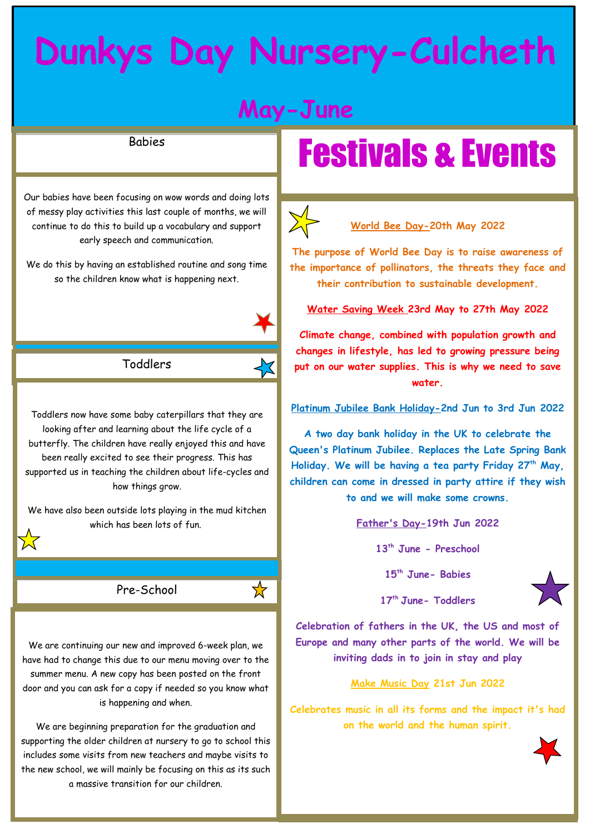## **Dunkys Day Nursery-Culcheth**

### **May-June**

### Babies

Our babies have been focusing on wow words and doing lots of messy play activities this last couple of months, we will continue to do this to build up a vocabulary and support early speech and communication.

We do this by having an established routine and song time so the children know what is happening next.



Toddlers now have some baby caterpillars that they are looking after and learning about the life cycle of a butterfly. The children have really enjoyed this and have been really excited to see their progress. This has supported us in teaching the children about life-cycles and how things grow.

We have also been outside lots playing in the mud kitchen which has been lots of fun.

Pre-School

 $\bigstar$ 

We are continuing our new and improved 6-week plan, we have had to change this due to our menu moving over to the summer menu. A new copy has been posted on the front door and you can ask for a copy if needed so you know what is happening and when.

We are beginning preparation for the graduation and supporting the older children at nursery to go to school this includes some visits from new teachers and maybe visits to the new school, we will mainly be focusing on this as its such a massive transition for our children.

## Festivals & Events



### **World Bee Day-20th May 2022**

**The purpose of World Bee Day is to raise awareness of the importance of pollinators, the threats they face and their contribution to sustainable development.**

**Water Saving Week 23rd May to 27th May 2022**

**Climate change, combined with population growth and changes in lifestyle, has led to growing pressure being put on our water supplies. This is why we need to save water.**

**Platinum Jubilee Bank Holiday-2nd Jun to 3rd Jun 2022**

**A two day bank holiday in the UK to celebrate the Queen's Platinum Jubilee. Replaces the Late Spring Bank Holiday. We will be having a tea party Friday 27th May, children can come in dressed in party attire if they wish to and we will make some crowns.** 

**Father's Day-19th Jun 2022**

**13th June - Preschool**

**15th June- Babies**



**17th June- Toddlers**

**Celebration of fathers in the UK, the US and most of Europe and many other parts of the world. We will be inviting dads in to join in stay and play**

**Make Music Day 21st Jun 2022**

**Celebrates music in all its forms and the impact it's had on the world and the human spirit.**